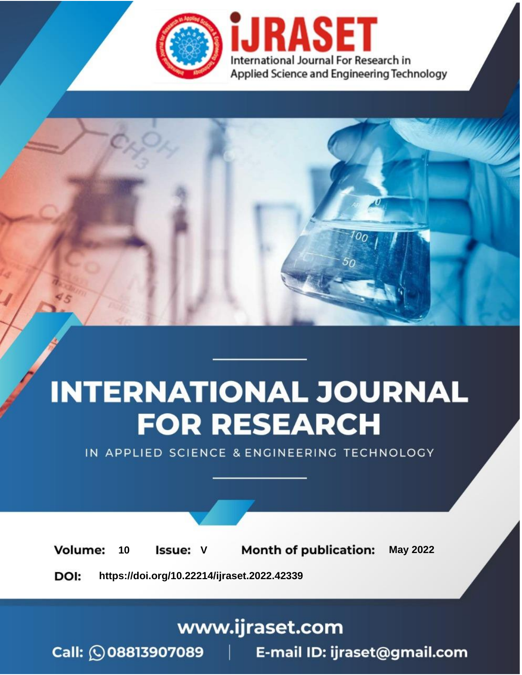

# **INTERNATIONAL JOURNAL FOR RESEARCH**

IN APPLIED SCIENCE & ENGINEERING TECHNOLOGY

Volume: **Month of publication: May 2022** 10 **Issue: V** 

DOI: https://doi.org/10.22214/ijraset.2022.42339

www.ijraset.com

Call: 008813907089 | E-mail ID: ijraset@gmail.com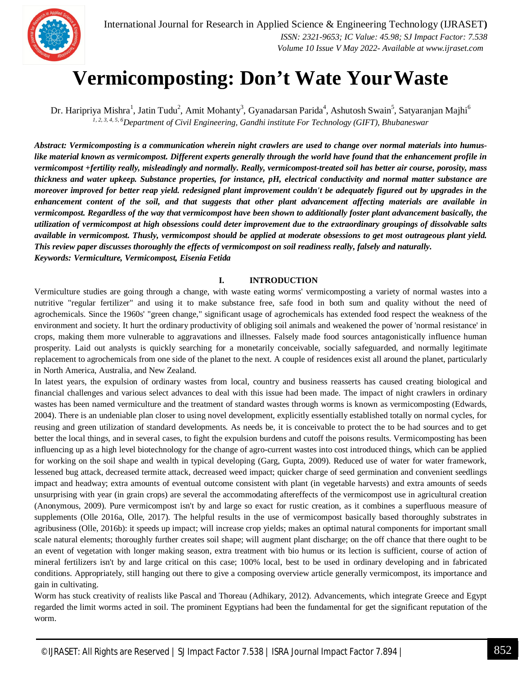

# **Vermicomposting: Don't Wate YourWaste**

Dr. Haripriya Mishra<sup>1</sup>, Jatin Tudu<sup>2</sup>, Amit Mohanty<sup>3</sup>, Gyanadarsan Parida<sup>4</sup>, Ashutosh Swain<sup>5</sup>, Satyaranjan Majhi<sup>6</sup> *1, 2, 3, 4, 5, 6Department of Civil Engineering, Gandhi institute For Technology (GIFT), Bhubaneswar*

*Abstract: Vermicomposting is a communication wherein night crawlers are used to change over normal materials into humuslike material known as vermicompost. Different experts generally through the world have found that the enhancement profile in vermicompost +fertility really, misleadingly and normally. Really, vermicompost-treated soil has better air course, porosity, mass thickness and water upkeep. Substance properties, for instance, pH, electrical conductivity and normal matter substance are moreover improved for better reap yield. redesigned plant improvement couldn't be adequately figured out by upgrades in the enhancement content of the soil, and that suggests that other plant advancement affecting materials are available in vermicompost. Regardless of the way that vermicompost have been shown to additionally foster plant advancement basically, the utilization of vermicompost at high obsessions could deter improvement due to the extraordinary groupings of dissolvable salts available in vermicompost. Thusly, vermicompost should be applied at moderate obsessions to get most outrageous plant yield. This review paper discusses thoroughly the effects of vermicompost on soil readiness really, falsely and naturally. Keywords: Vermiculture, Vermicompost, Eisenia Fetida*

#### **I. INTRODUCTION**

Vermiculture studies are going through a change, with waste eating worms' vermicomposting a variety of normal wastes into a nutritive "regular fertilizer" and using it to make substance free, safe food in both sum and quality without the need of agrochemicals. Since the 1960s' "green change," significant usage of agrochemicals has extended food respect the weakness of the environment and society. It hurt the ordinary productivity of obliging soil animals and weakened the power of 'normal resistance' in crops, making them more vulnerable to aggravations and illnesses. Falsely made food sources antagonistically influence human prosperity. Laid out analysts is quickly searching for a monetarily conceivable, socially safeguarded, and normally legitimate replacement to agrochemicals from one side of the planet to the next. A couple of residences exist all around the planet, particularly in North America, Australia, and New Zealand.

In latest years, the expulsion of ordinary wastes from local, country and business reasserts has caused creating biological and financial challenges and various select advances to deal with this issue had been made. The impact of night crawlers in ordinary wastes has been named vermiculture and the treatment of standard wastes through worms is known as vermicomposting (Edwards, 2004). There is an undeniable plan closer to using novel development, explicitly essentially established totally on normal cycles, for reusing and green utilization of standard developments. As needs be, it is conceivable to protect the to be had sources and to get better the local things, and in several cases, to fight the expulsion burdens and cutoff the poisons results. Vermicomposting has been influencing up as a high level biotechnology for the change of agro-current wastes into cost introduced things, which can be applied for working on the soil shape and wealth in typical developing (Garg, Gupta, 2009). Reduced use of water for water framework, lessened bug attack, decreased termite attack, decreased weed impact; quicker charge of seed germination and convenient seedlings impact and headway; extra amounts of eventual outcome consistent with plant (in vegetable harvests) and extra amounts of seeds unsurprising with year (in grain crops) are several the accommodating aftereffects of the vermicompost use in agricultural creation (Anonymous, 2009). Pure vermicompost isn't by and large so exact for rustic creation, as it combines a superfluous measure of supplements (Olle 2016a, Olle, 2017). The helpful results in the use of vermicompost basically based thoroughly substrates in agribusiness (Olle, 2016b): it speeds up impact; will increase crop yields; makes an optimal natural components for important small scale natural elements; thoroughly further creates soil shape; will augment plant discharge; on the off chance that there ought to be an event of vegetation with longer making season, extra treatment with bio humus or its lection is sufficient, course of action of mineral fertilizers isn't by and large critical on this case; 100% local, best to be used in ordinary developing and in fabricated conditions. Appropriately, still hanging out there to give a composing overview article generally vermicompost, its importance and gain in cultivating.

Worm has stuck creativity of realists like Pascal and Thoreau (Adhikary, 2012). Advancements, which integrate Greece and Egypt regarded the limit worms acted in soil. The prominent Egyptians had been the fundamental for get the significant reputation of the worm.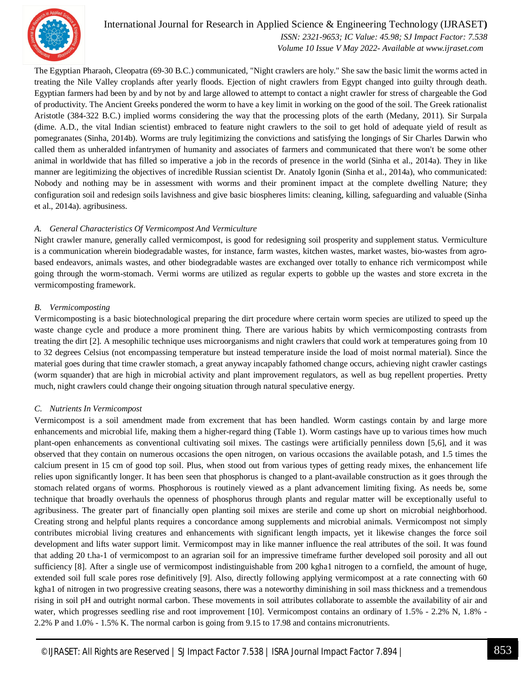

 *ISSN: 2321-9653; IC Value: 45.98; SJ Impact Factor: 7.538 Volume 10 Issue V May 2022- Available at www.ijraset.com*

The Egyptian Pharaoh, Cleopatra (69-30 B.C.) communicated, "Night crawlers are holy." She saw the basic limit the worms acted in treating the Nile Valley croplands after yearly floods. Ejection of night crawlers from Egypt changed into guilty through death. Egyptian farmers had been by and by not by and large allowed to attempt to contact a night crawler for stress of chargeable the God of productivity. The Ancient Greeks pondered the worm to have a key limit in working on the good of the soil. The Greek rationalist Aristotle (384-322 B.C.) implied worms considering the way that the processing plots of the earth (Medany, 2011). Sir Surpala (dime. A.D., the vital Indian scientist) embraced to feature night crawlers to the soil to get hold of adequate yield of result as pomegranates (Sinha, 2014b). Worms are truly legitimizing the convictions and satisfying the longings of Sir Charles Darwin who called them as unheralded infantrymen of humanity and associates of farmers and communicated that there won't be some other animal in worldwide that has filled so imperative a job in the records of presence in the world (Sinha et al., 2014a). They in like manner are legitimizing the objectives of incredible Russian scientist Dr. Anatoly Igonin (Sinha et al., 2014a), who communicated: Nobody and nothing may be in assessment with worms and their prominent impact at the complete dwelling Nature; they configuration soil and redesign soils lavishness and give basic biospheres limits: cleaning, killing, safeguarding and valuable (Sinha et al., 2014a). agribusiness.

#### *A. General Characteristics Of Vermicompost And Vermiculture*

Night crawler manure, generally called vermicompost, is good for redesigning soil prosperity and supplement status. Vermiculture is a communication wherein biodegradable wastes, for instance, farm wastes, kitchen wastes, market wastes, bio-wastes from agrobased endeavors, animals wastes, and other biodegradable wastes are exchanged over totally to enhance rich vermicompost while going through the worm-stomach. Vermi worms are utilized as regular experts to gobble up the wastes and store excreta in the vermicomposting framework.

#### *B. Vermicomposting*

Vermicomposting is a basic biotechnological preparing the dirt procedure where certain worm species are utilized to speed up the waste change cycle and produce a more prominent thing. There are various habits by which vermicomposting contrasts from treating the dirt [2]. A mesophilic technique uses microorganisms and night crawlers that could work at temperatures going from 10 to 32 degrees Celsius (not encompassing temperature but instead temperature inside the load of moist normal material). Since the material goes during that time crawler stomach, a great anyway incapably fathomed change occurs, achieving night crawler castings (worm squander) that are high in microbial activity and plant improvement regulators, as well as bug repellent properties. Pretty much, night crawlers could change their ongoing situation through natural speculative energy.

#### *C. Nutrients In Vermicompost*

Vermicompost is a soil amendment made from excrement that has been handled. Worm castings contain by and large more enhancements and microbial life, making them a higher-regard thing (Table 1). Worm castings have up to various times how much plant-open enhancements as conventional cultivating soil mixes. The castings were artificially penniless down [5,6], and it was observed that they contain on numerous occasions the open nitrogen, on various occasions the available potash, and 1.5 times the calcium present in 15 cm of good top soil. Plus, when stood out from various types of getting ready mixes, the enhancement life relies upon significantly longer. It has been seen that phosphorus is changed to a plant-available construction as it goes through the stomach related organs of worms. Phosphorous is routinely viewed as a plant advancement limiting fixing. As needs be, some technique that broadly overhauls the openness of phosphorus through plants and regular matter will be exceptionally useful to agribusiness. The greater part of financially open planting soil mixes are sterile and come up short on microbial neighborhood. Creating strong and helpful plants requires a concordance among supplements and microbial animals. Vermicompost not simply contributes microbial living creatures and enhancements with significant length impacts, yet it likewise changes the force soil development and lifts water support limit. Vermicompost may in like manner influence the real attributes of the soil. It was found that adding 20 t.ha-1 of vermicompost to an agrarian soil for an impressive timeframe further developed soil porosity and all out sufficiency [8]. After a single use of vermicompost indistinguishable from 200 kgha1 nitrogen to a cornfield, the amount of huge, extended soil full scale pores rose definitively [9]. Also, directly following applying vermicompost at a rate connecting with 60 kgha1 of nitrogen in two progressive creating seasons, there was a noteworthy diminishing in soil mass thickness and a tremendous rising in soil pH and outright normal carbon. These movements in soil attributes collaborate to assemble the availability of air and water, which progresses seedling rise and root improvement [10]. Vermicompost contains an ordinary of 1.5% - 2.2% N, 1.8% - 2.2% P and 1.0% - 1.5% K. The normal carbon is going from 9.15 to 17.98 and contains micronutrients.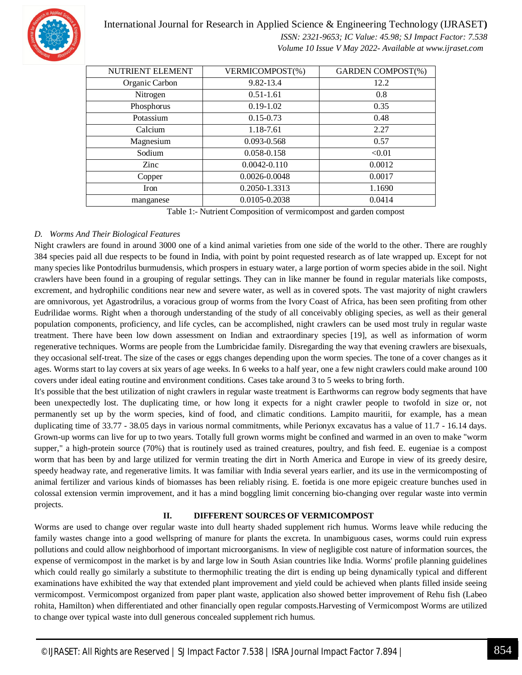

 *ISSN: 2321-9653; IC Value: 45.98; SJ Impact Factor: 7.538 Volume 10 Issue V May 2022- Available at www.ijraset.com*

| NUTRIENT ELEMENT | VERMICOMPOST(%)  | <b>GARDEN COMPOST(%)</b> |
|------------------|------------------|--------------------------|
| Organic Carbon   | 9.82-13.4        | 12.2                     |
| Nitrogen         | $0.51 - 1.61$    | 0.8                      |
| Phosphorus       | $0.19 - 1.02$    | 0.35                     |
| Potassium        | $0.15 - 0.73$    | 0.48                     |
| Calcium          | 1.18-7.61        | 2.27                     |
| Magnesium        | 0.093-0.568      | 0.57                     |
| Sodium           | 0.058-0.158      | < 0.01                   |
| Zinc             | $0.0042 - 0.110$ | 0.0012                   |
| Copper           | 0.0026-0.0048    | 0.0017                   |
| Iron             | 0.2050-1.3313    | 1.1690                   |
| manganese        | 0.0105-0.2038    | 0.0414                   |

Table 1:- Nutrient Composition of vermicompost and garden compost

#### *D. Worms And Their Biological Features*

Night crawlers are found in around 3000 one of a kind animal varieties from one side of the world to the other. There are roughly 384 species paid all due respects to be found in India, with point by point requested research as of late wrapped up. Except for not many species like Pontodrilus burmudensis, which prospers in estuary water, a large portion of worm species abide in the soil. Night crawlers have been found in a grouping of regular settings. They can in like manner be found in regular materials like composts, excrement, and hydrophilic conditions near new and severe water, as well as in covered spots. The vast majority of night crawlers are omnivorous, yet Agastrodrilus, a voracious group of worms from the Ivory Coast of Africa, has been seen profiting from other Eudrilidae worms. Right when a thorough understanding of the study of all conceivably obliging species, as well as their general population components, proficiency, and life cycles, can be accomplished, night crawlers can be used most truly in regular waste treatment. There have been low down assessment on Indian and extraordinary species [19], as well as information of worm regenerative techniques. Worms are people from the Lumbricidae family. Disregarding the way that evening crawlers are bisexuals, they occasional self-treat. The size of the cases or eggs changes depending upon the worm species. The tone of a cover changes as it ages. Worms start to lay covers at six years of age weeks. In 6 weeks to a half year, one a few night crawlers could make around 100 covers under ideal eating routine and environment conditions. Cases take around 3 to 5 weeks to bring forth.

It's possible that the best utilization of night crawlers in regular waste treatment is Earthworms can regrow body segments that have been unexpectedly lost. The duplicating time, or how long it expects for a night crawler people to twofold in size or, not permanently set up by the worm species, kind of food, and climatic conditions. Lampito mauritii, for example, has a mean duplicating time of 33.77 - 38.05 days in various normal commitments, while Perionyx excavatus has a value of 11.7 - 16.14 days. Grown-up worms can live for up to two years. Totally full grown worms might be confined and warmed in an oven to make "worm supper," a high-protein source (70%) that is routinely used as trained creatures, poultry, and fish feed. E. eugeniae is a compost worm that has been by and large utilized for vermin treating the dirt in North America and Europe in view of its greedy desire, speedy headway rate, and regenerative limits. It was familiar with India several years earlier, and its use in the vermicomposting of animal fertilizer and various kinds of biomasses has been reliably rising. E. foetida is one more epigeic creature bunches used in colossal extension vermin improvement, and it has a mind boggling limit concerning bio-changing over regular waste into vermin projects.

#### **II. DIFFERENT SOURCES OF VERMICOMPOST**

Worms are used to change over regular waste into dull hearty shaded supplement rich humus. Worms leave while reducing the family wastes change into a good wellspring of manure for plants the excreta. In unambiguous cases, worms could ruin express pollutions and could allow neighborhood of important microorganisms. In view of negligible cost nature of information sources, the expense of vermicompost in the market is by and large low in South Asian countries like India. Worms' profile planning guidelines which could really go similarly a substitute to thermophilic treating the dirt is ending up being dynamically typical and different examinations have exhibited the way that extended plant improvement and yield could be achieved when plants filled inside seeing vermicompost. Vermicompost organized from paper plant waste, application also showed better improvement of Rehu fish (Labeo rohita, Hamilton) when differentiated and other financially open regular composts.Harvesting of Vermicompost Worms are utilized to change over typical waste into dull generous concealed supplement rich humus.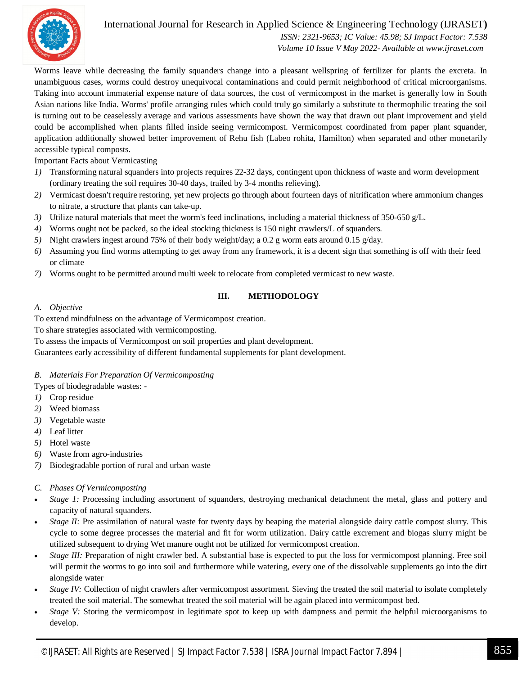

 *ISSN: 2321-9653; IC Value: 45.98; SJ Impact Factor: 7.538 Volume 10 Issue V May 2022- Available at www.ijraset.com*

Worms leave while decreasing the family squanders change into a pleasant wellspring of fertilizer for plants the excreta. In unambiguous cases, worms could destroy unequivocal contaminations and could permit neighborhood of critical microorganisms. Taking into account immaterial expense nature of data sources, the cost of vermicompost in the market is generally low in South Asian nations like India. Worms' profile arranging rules which could truly go similarly a substitute to thermophilic treating the soil is turning out to be ceaselessly average and various assessments have shown the way that drawn out plant improvement and yield could be accomplished when plants filled inside seeing vermicompost. Vermicompost coordinated from paper plant squander, application additionally showed better improvement of Rehu fish (Labeo rohita, Hamilton) when separated and other monetarily accessible typical composts.

Important Facts about Vermicasting

- *1)* Transforming natural squanders into projects requires 22-32 days, contingent upon thickness of waste and worm development (ordinary treating the soil requires 30-40 days, trailed by 3-4 months relieving).
- *2)* Vermicast doesn't require restoring, yet new projects go through about fourteen days of nitrification where ammonium changes to nitrate, a structure that plants can take-up.
- *3)* Utilize natural materials that meet the worm's feed inclinations, including a material thickness of 350-650 g/L.
- *4)* Worms ought not be packed, so the ideal stocking thickness is 150 night crawlers/L of squanders.
- *5)* Night crawlers ingest around 75% of their body weight/day; a 0.2 g worm eats around 0.15 g/day.
- *6)* Assuming you find worms attempting to get away from any framework, it is a decent sign that something is off with their feed or climate
- *7)* Worms ought to be permitted around multi week to relocate from completed vermicast to new waste.

#### **III. METHODOLOGY**

#### *A. Objective*

To extend mindfulness on the advantage of Vermicompost creation.

To share strategies associated with vermicomposting.

To assess the impacts of Vermicompost on soil properties and plant development.

Guarantees early accessibility of different fundamental supplements for plant development.

#### *B. Materials For Preparation Of Vermicomposting*

Types of biodegradable wastes: -

- *1)* Crop residue
- *2)* Weed biomass
- *3)* Vegetable waste
- *4)* Leaf litter
- *5)* Hotel waste
- *6)* Waste from agro-industries
- *7)* Biodegradable portion of rural and urban waste

#### *C. Phases Of Vermicomposting*

- *Stage 1:* Processing including assortment of squanders, destroying mechanical detachment the metal, glass and pottery and capacity of natural squanders.
- *Stage II:* Pre assimilation of natural waste for twenty days by beaping the material alongside dairy cattle compost slurry. This cycle to some degree processes the material and fit for worm utilization. Dairy cattle excrement and biogas slurry might be utilized subsequent to drying Wet manure ought not be utilized for vermicompost creation.
- *Stage III:* Preparation of night crawler bed. A substantial base is expected to put the loss for vermicompost planning. Free soil will permit the worms to go into soil and furthermore while watering, every one of the dissolvable supplements go into the dirt alongside water
- *Stage IV:* Collection of night crawlers after vermicompost assortment. Sieving the treated the soil material to isolate completely treated the soil material. The somewhat treated the soil material will be again placed into vermicompost bed.
- *Stage V:* Storing the vermicompost in legitimate spot to keep up with dampness and permit the helpful microorganisms to develop.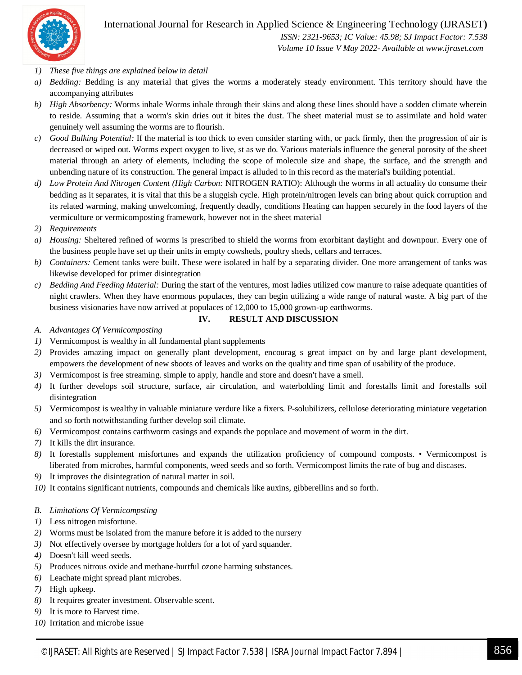

 *ISSN: 2321-9653; IC Value: 45.98; SJ Impact Factor: 7.538 Volume 10 Issue V May 2022- Available at www.ijraset.com*

- *1) These five things are explained below in detail*
- *a) Bedding:* Bedding is any material that gives the worms a moderately steady environment. This territory should have the accompanying attributes
- *b) High Absorbency:* Worms inhale Worms inhale through their skins and along these lines should have a sodden climate wherein to reside. Assuming that a worm's skin dries out it bites the dust. The sheet material must se to assimilate and hold water genuinely well assuming the worms are to flourish.
- *c) Good Bulking Potential:* If the material is too thick to even consider starting with, or pack firmly, then the progression of air is decreased or wiped out. Worms expect oxygen to live, st as we do. Various materials influence the general porosity of the sheet material through an ariety of elements, including the scope of molecule size and shape, the surface, and the strength and unbending nature of its construction. The general impact is alluded to in this record as the material's building potential.
- *d) Low Protein And Nitrogen Content (High Carbon:* NITROGEN RATIO): Although the worms in all actuality do consume their bedding as it separates, it is vital that this be a sluggish cycle. High protein/nitrogen levels can bring about quick corruption and its related warming, making unwelcoming, frequently deadly, conditions Heating can happen securely in the food layers of the vermiculture or vermicomposting framework, however not in the sheet material
- *2) Requirements*
- *a) Housing:* Sheltered refined of worms is prescribed to shield the worms from exorbitant daylight and downpour. Every one of the business people have set up their units in empty cowsheds, poultry sheds, cellars and terraces.
- *b) Containers:* Cement tanks were built. These were isolated in half by a separating divider. One more arrangement of tanks was likewise developed for primer disintegration
- *c) Bedding And Feeding Material:* During the start of the ventures, most ladies utilized cow manure to raise adequate quantities of night crawlers. When they have enormous populaces, they can begin utilizing a wide range of natural waste. A big part of the business visionaries have now arrived at populaces of 12,000 to 15,000 grown-up earthworms.

#### **IV. RESULT AND DISCUSSION**

- *A. Advantages Of Vermicomposting*
- *1)* Vermicompost is wealthy in all fundamental plant supplements
- *2)* Provides amazing impact on generally plant development, encourag s great impact on by and large plant development, empowers the development of new sboots of leaves and works on the quality and time span of usability of the produce.
- *3)* Vermicompost is free streaming. simple to apply, handle and store and doesn't have a smell.
- *4)* It further develops soil structure, surface, air circulation, and waterbolding limit and forestalls limit and forestalls soil disintegration
- *5)* Vermicompost is wealthy in valuable miniature verdure like a fixers. P-solubilizers, cellulose deteriorating miniature vegetation and so forth notwithstanding further develop soil climate.
- *6)* Vermicompost contains carthworm casings and expands the populace and movement of worm in the dirt.
- *7)* It kills the dirt insurance.
- *8)* It forestalls supplement misfortunes and expands the utilization proficiency of compound composts. Vermicompost is liberated from microbes, harmful components, weed seeds and so forth. Vermicompost limits the rate of bug and discases.
- *9)* It improves the disintegration of natural matter in soil.
- *10)* It contains significant nutrients, compounds and chemicals like auxins, gibberellins and so forth.

#### *B. Limitations Of Vermicompsting*

- *1)* Less nitrogen misfortune.
- *2)* Worms must be isolated from the manure before it is added to the nursery
- *3)* Not effectively oversee by mortgage holders for a lot of yard squander.
- *4)* Doesn't kill weed seeds.
- *5)* Produces nitrous oxide and methane-hurtful ozone harming substances.
- *6)* Leachate might spread plant microbes.
- *7)* High upkeep.
- *8)* It requires greater investment. Observable scent.
- *9)* It is more to Harvest time.
- *10)* Irritation and microbe issue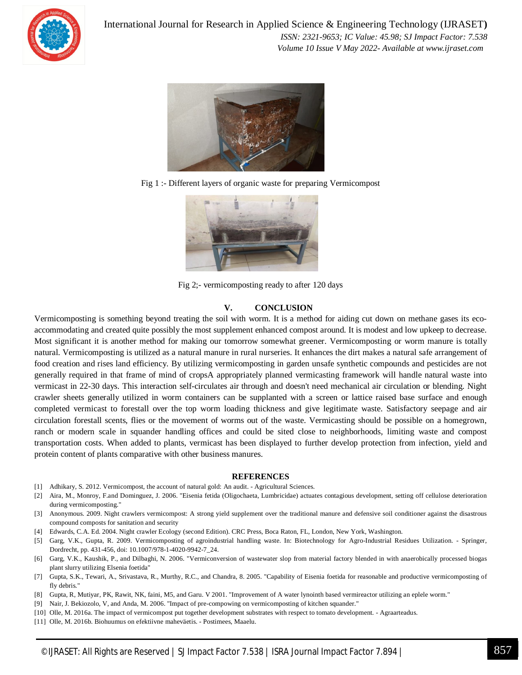

International Journal for Research in Applied Science & Engineering Technology (IJRASET**)**  *ISSN: 2321-9653; IC Value: 45.98; SJ Impact Factor: 7.538 Volume 10 Issue V May 2022- Available at www.ijraset.com*



Fig 1 :- Different layers of organic waste for preparing Vermicompost



Fig 2;- vermicomposting ready to after 120 days

#### **V. CONCLUSION**

Vermicomposting is something beyond treating the soil with worm. It is a method for aiding cut down on methane gases its ecoaccommodating and created quite possibly the most supplement enhanced compost around. It is modest and low upkeep to decrease. Most significant it is another method for making our tomorrow somewhat greener. Vermicomposting or worm manure is totally natural. Vermicomposting is utilized as a natural manure in rural nurseries. It enhances the dirt makes a natural safe arrangement of food creation and rises land efficiency. By utilizing vermicomposting in garden unsafe synthetic compounds and pesticides are not generally required in that frame of mind of cropsA appropriately planned vermicasting framework will handle natural waste into vermicast in 22-30 days. This interaction self-circulates air through and doesn't need mechanical air circulation or blending. Night crawler sheets generally utilized in worm containers can be supplanted with a screen or lattice raised base surface and enough completed vermicast to forestall over the top worm loading thickness and give legitimate waste. Satisfactory seepage and air circulation forestall scents, flies or the movement of worms out of the waste. Vermicasting should be possible on a homegrown, ranch or modern scale in squander handling offices and could be sited close to neighborhoods, limiting waste and compost transportation costs. When added to plants, vermicast has been displayed to further develop protection from infection, yield and protein content of plants comparative with other business manures.

#### **REFERENCES**

- [1] Adhikary, S. 2012. Vermicompost, the account of natural gold: An audit. Agricultural Sciences.
- [2] Aira, M., Monroy, F.and Dominguez, J. 2006. "Eisenia fetida (Oligochaeta, Lumbricidae) actuates contagious development, setting off cellulose deterioration during vermicomposting."
- [3] Anonymous. 2009. Night crawlers vermicompost: A strong yield supplement over the traditional manure and defensive soil conditioner against the disastrous compound composts for sanitation and security
- [4] Edwards, C.A. Ed. 2004. Night crawler Ecology (second Edition). CRC Press, Boca Raton, FL, London, New York, Washington.
- [5] Garg, V.K., Gupta, R. 2009. Vermicomposting of agroindustrial handling waste. In: Biotechnology for Agro-Industrial Residues Utilization. Springer, Dordrecht, pp. 431-456, doi: 10.1007/978-1-4020-9942-7\_24.
- [6] Garg, V.K., Kaushik, P., and Dilbaghi, N. 2006. "Vermiconversion of wastewater slop from material factory blended in with anaerobically processed biogas plant slurry utilizing Elsenia foetida"
- [7] Gupta, S.K., Tewari, A., Srivastava, R., Murthy, R.C., and Chandra, 8. 2005. "Capability of Eisenia foetida for reasonable and productive vermicomposting of fly debris."
- [8] Gupta, R, Mutiyar, PK, Rawit, NK, faini, M5, and Garu. V 2001. "Improvement of A water lynointh based vermireactor utilizing an eplele worm."
- [9] Nair, J. Bekiozolo, V, and Anda, M. 2006. "Impact of pre-compowing on vermicomposting of kitchen squander."
- [10] Olle, M. 2016a. The impact of vermicompost put together development substrates with respect to tomato development. Agraarteadus.
- [11] Olle, M. 2016b. Biohuumus on efektiivne maheväetis. Postimees, Maaelu.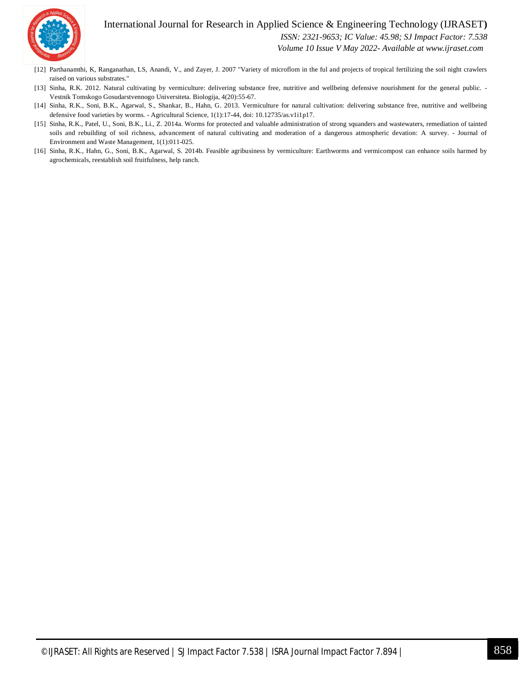

 *ISSN: 2321-9653; IC Value: 45.98; SJ Impact Factor: 7.538*

 *Volume 10 Issue V May 2022- Available at www.ijraset.com*

- [12] Parthanamthi, K, Ranganathan, LS, Anandi, V., and Zayer, J. 2007 "Variety of microflom in the ful and projects of tropical fertilizing the soil night crawlers raised on various substrates."
- [13] Sinha, R.K. 2012. Natural cultivating by vermiculture: delivering substance free, nutritive and wellbeing defensive nourishment for the general public. -Vestnik Tomskogo Gosudarstvennogo Universiteta. Biologija, 4(20):55-67.
- [14] Sinha, R.K., Soni, B.K., Agarwal, S., Shankar, B., Hahn, G. 2013. Vermiculture for natural cultivation: delivering substance free, nutritive and wellbeing defensive food varieties by worms. - Agricultural Science, 1(1):17-44, doi: 10.12735/as.v1i1p17.
- [15] Sinha, R.K., Patel, U., Soni, B.K., Li., Z. 2014a. Worms for protected and valuable administration of strong squanders and wastewaters, remediation of tainted soils and rebuilding of soil richness, advancement of natural cultivating and moderation of a dangerous atmospheric devation: A survey. - Journal of Environment and Waste Management, 1(1):011-025.
- [16] Sinha, R.K., Hahn, G., Soni, B.K., Agarwal, S. 2014b. Feasible agribusiness by vermiculture: Earthworms and vermicompost can enhance soils harmed by agrochemicals, reestablish soil fruitfulness, help ranch.